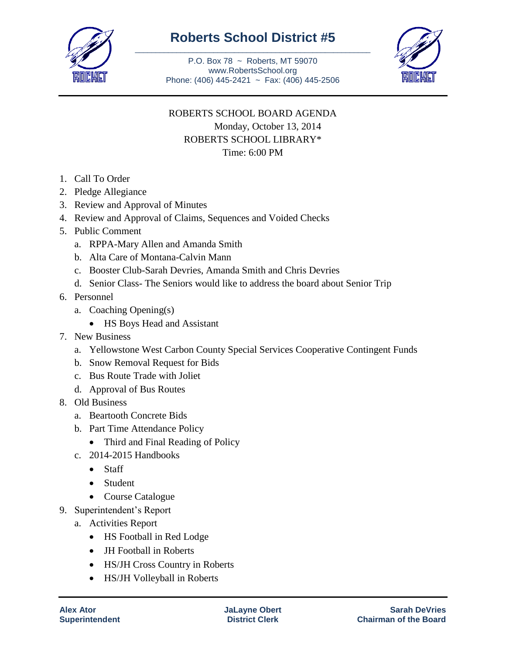

## **Roberts School District #5** \_\_\_\_\_\_\_\_\_\_\_\_\_\_\_\_\_\_\_\_\_\_\_\_\_\_\_\_\_\_\_\_\_\_\_\_\_\_\_\_\_\_\_\_\_\_\_\_\_\_\_\_\_\_\_\_\_

P.O. Box 78 ~ Roberts, MT 59070 www.RobertsSchool.org Phone: (406) 445-2421 ~ Fax: (406) 445-2506



## ROBERTS SCHOOL BOARD AGENDA Monday, October 13, 2014 ROBERTS SCHOOL LIBRARY\* Time: 6:00 PM

- 1. Call To Order
- 2. Pledge Allegiance
- 3. Review and Approval of Minutes
- 4. Review and Approval of Claims, Sequences and Voided Checks
- 5. Public Comment
	- a. RPPA-Mary Allen and Amanda Smith
	- b. Alta Care of Montana-Calvin Mann
	- c. Booster Club-Sarah Devries, Amanda Smith and Chris Devries
	- d. Senior Class- The Seniors would like to address the board about Senior Trip
- 6. Personnel
	- a. Coaching Opening(s)
		- HS Boys Head and Assistant
- 7. New Business
	- a. Yellowstone West Carbon County Special Services Cooperative Contingent Funds
	- b. Snow Removal Request for Bids
	- c. Bus Route Trade with Joliet
	- d. Approval of Bus Routes
- 8. Old Business
	- a. Beartooth Concrete Bids
	- b. Part Time Attendance Policy
		- Third and Final Reading of Policy
	- c. 2014-2015 Handbooks
		- Staff
		- Student
		- Course Catalogue
- 9. Superintendent's Report
	- a. Activities Report
		- HS Football in Red Lodge
		- JH Football in Roberts
		- HS/JH Cross Country in Roberts
		- HS/JH Volleyball in Roberts